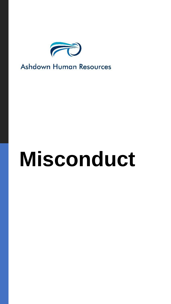

**Ashdown Human Resources** 

# **Misconduct**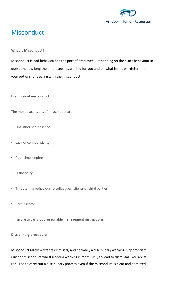

# **Misconduct**

## **What is Misconduct?**

Misconduct is bad behaviour on the part of employee. Depending on the exact behaviour in question, how long the employee has worked for you and on what terms will determine your options for dealing with the misconduct.

#### **Examples of misconduct**

The most usual types of misconduct are:

- Unauthorised absence
- Lack of confidentiality
- Poor timekeeping
- Dishonesty
- Threatening behaviour to colleagues, clients or third parties
- Carelessness
- Failure to carry out reasonable management instructions

# **Disciplinary procedure**

Misconduct rarely warrants dismissal, and normally a disciplinary warning is appropriate. Further misconduct whilst under a warning is more likely to lead to dismissal. You are still required to carry out a disciplinary process even if the misconduct is clear and admitted.